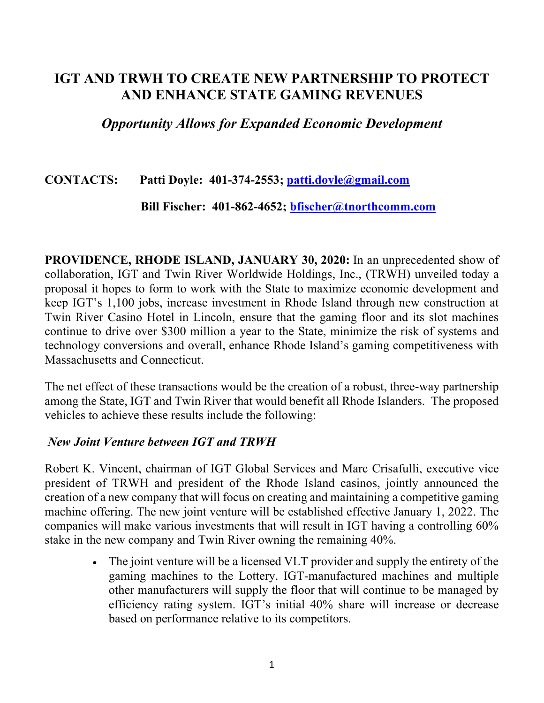# **IGT AND TRWH TO CREATE NEW PARTNERSHIP TO PROTECT AND ENHANCE STATE GAMING REVENUES**

# *Opportunity Allows for Expanded Economic Development*

# **CONTACTS: Patti Doyle: 401-374-2553; patti.doyle@gmail.com**

### **Bill Fischer: 401-862-4652; bfischer@tnorthcomm.com**

**PROVIDENCE, RHODE ISLAND, JANUARY 30, 2020:** In an unprecedented show of collaboration, IGT and Twin River Worldwide Holdings, Inc., (TRWH) unveiled today a proposal it hopes to form to work with the State to maximize economic development and keep IGT's 1,100 jobs, increase investment in Rhode Island through new construction at Twin River Casino Hotel in Lincoln, ensure that the gaming floor and its slot machines continue to drive over \$300 million a year to the State, minimize the risk of systems and technology conversions and overall, enhance Rhode Island's gaming competitiveness with Massachusetts and Connecticut.

The net effect of these transactions would be the creation of a robust, three-way partnership among the State, IGT and Twin River that would benefit all Rhode Islanders. The proposed vehicles to achieve these results include the following:

### *New Joint Venture between IGT and TRWH*

Robert K. Vincent, chairman of IGT Global Services and Marc Crisafulli, executive vice president of TRWH and president of the Rhode Island casinos, jointly announced the creation of a new company that will focus on creating and maintaining a competitive gaming machine offering. The new joint venture will be established effective January 1, 2022. The companies will make various investments that will result in IGT having a controlling 60% stake in the new company and Twin River owning the remaining 40%.

> • The joint venture will be a licensed VLT provider and supply the entirety of the gaming machines to the Lottery. IGT-manufactured machines and multiple other manufacturers will supply the floor that will continue to be managed by efficiency rating system. IGT's initial 40% share will increase or decrease based on performance relative to its competitors.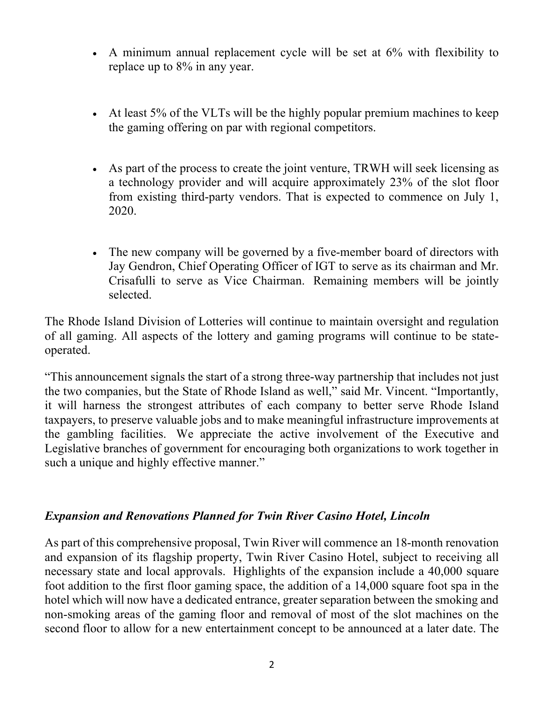- A minimum annual replacement cycle will be set at 6% with flexibility to replace up to 8% in any year.
- At least 5% of the VLTs will be the highly popular premium machines to keep the gaming offering on par with regional competitors.
- As part of the process to create the joint venture, TRWH will seek licensing as a technology provider and will acquire approximately 23% of the slot floor from existing third-party vendors. That is expected to commence on July 1, 2020.
- The new company will be governed by a five-member board of directors with Jay Gendron, Chief Operating Officer of IGT to serve as its chairman and Mr. Crisafulli to serve as Vice Chairman. Remaining members will be jointly selected.

The Rhode Island Division of Lotteries will continue to maintain oversight and regulation of all gaming. All aspects of the lottery and gaming programs will continue to be stateoperated.

"This announcement signals the start of a strong three-way partnership that includes not just the two companies, but the State of Rhode Island as well," said Mr. Vincent. "Importantly, it will harness the strongest attributes of each company to better serve Rhode Island taxpayers, to preserve valuable jobs and to make meaningful infrastructure improvements at the gambling facilities. We appreciate the active involvement of the Executive and Legislative branches of government for encouraging both organizations to work together in such a unique and highly effective manner."

# *Expansion and Renovations Planned for Twin River Casino Hotel, Lincoln*

As part of this comprehensive proposal, Twin River will commence an 18-month renovation and expansion of its flagship property, Twin River Casino Hotel, subject to receiving all necessary state and local approvals. Highlights of the expansion include a 40,000 square foot addition to the first floor gaming space, the addition of a 14,000 square foot spa in the hotel which will now have a dedicated entrance, greater separation between the smoking and non-smoking areas of the gaming floor and removal of most of the slot machines on the second floor to allow for a new entertainment concept to be announced at a later date. The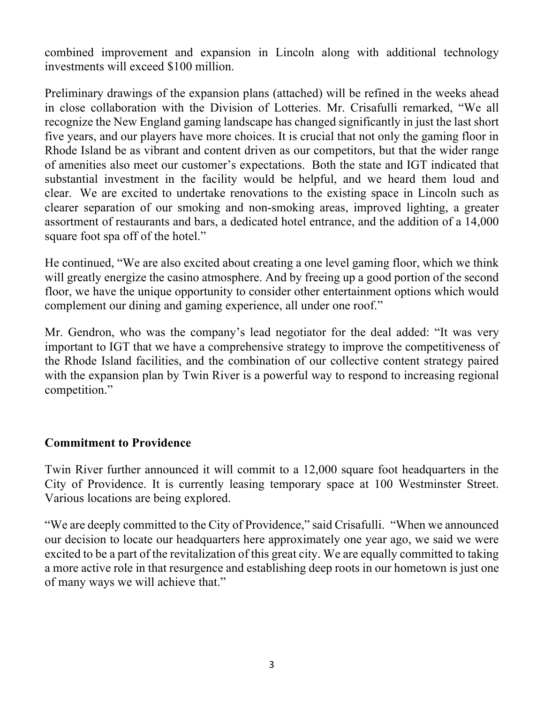combined improvement and expansion in Lincoln along with additional technology investments will exceed \$100 million.

Preliminary drawings of the expansion plans (attached) will be refined in the weeks ahead in close collaboration with the Division of Lotteries. Mr. Crisafulli remarked, "We all recognize the New England gaming landscape has changed significantly in just the last short five years, and our players have more choices. It is crucial that not only the gaming floor in Rhode Island be as vibrant and content driven as our competitors, but that the wider range of amenities also meet our customer's expectations. Both the state and IGT indicated that substantial investment in the facility would be helpful, and we heard them loud and clear. We are excited to undertake renovations to the existing space in Lincoln such as clearer separation of our smoking and non-smoking areas, improved lighting, a greater assortment of restaurants and bars, a dedicated hotel entrance, and the addition of a 14,000 square foot spa off of the hotel."

He continued, "We are also excited about creating a one level gaming floor, which we think will greatly energize the casino atmosphere. And by freeing up a good portion of the second floor, we have the unique opportunity to consider other entertainment options which would complement our dining and gaming experience, all under one roof."

Mr. Gendron, who was the company's lead negotiator for the deal added: "It was very important to IGT that we have a comprehensive strategy to improve the competitiveness of the Rhode Island facilities, and the combination of our collective content strategy paired with the expansion plan by Twin River is a powerful way to respond to increasing regional competition."

# **Commitment to Providence**

Twin River further announced it will commit to a 12,000 square foot headquarters in the City of Providence. It is currently leasing temporary space at 100 Westminster Street. Various locations are being explored.

"We are deeply committed to the City of Providence," said Crisafulli. "When we announced our decision to locate our headquarters here approximately one year ago, we said we were excited to be a part of the revitalization of this great city. We are equally committed to taking a more active role in that resurgence and establishing deep roots in our hometown is just one of many ways we will achieve that."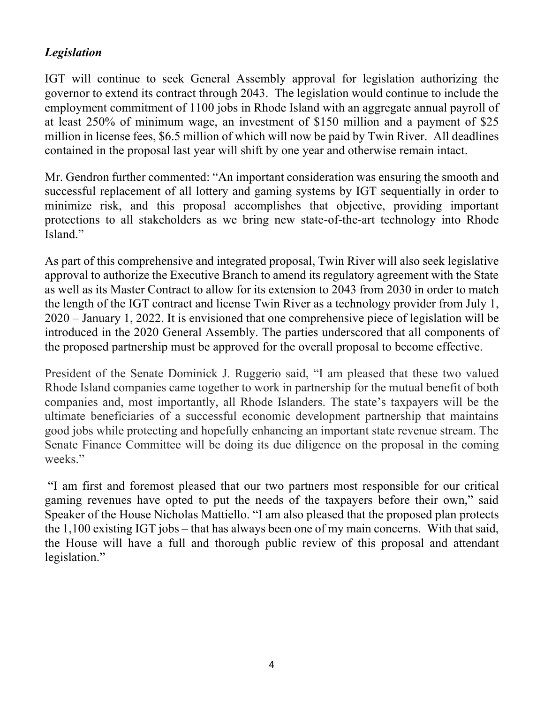# *Legislation*

IGT will continue to seek General Assembly approval for legislation authorizing the governor to extend its contract through 2043. The legislation would continue to include the employment commitment of 1100 jobs in Rhode Island with an aggregate annual payroll of at least 250% of minimum wage, an investment of \$150 million and a payment of \$25 million in license fees, \$6.5 million of which will now be paid by Twin River. All deadlines contained in the proposal last year will shift by one year and otherwise remain intact.

Mr. Gendron further commented: "An important consideration was ensuring the smooth and successful replacement of all lottery and gaming systems by IGT sequentially in order to minimize risk, and this proposal accomplishes that objective, providing important protections to all stakeholders as we bring new state-of-the-art technology into Rhode Island."

As part of this comprehensive and integrated proposal, Twin River will also seek legislative approval to authorize the Executive Branch to amend its regulatory agreement with the State as well as its Master Contract to allow for its extension to 2043 from 2030 in order to match the length of the IGT contract and license Twin River as a technology provider from July 1, 2020 – January 1, 2022. It is envisioned that one comprehensive piece of legislation will be introduced in the 2020 General Assembly. The parties underscored that all components of the proposed partnership must be approved for the overall proposal to become effective.

President of the Senate Dominick J. Ruggerio said, "I am pleased that these two valued Rhode Island companies came together to work in partnership for the mutual benefit of both companies and, most importantly, all Rhode Islanders. The state's taxpayers will be the ultimate beneficiaries of a successful economic development partnership that maintains good jobs while protecting and hopefully enhancing an important state revenue stream. The Senate Finance Committee will be doing its due diligence on the proposal in the coming weeks."

"I am first and foremost pleased that our two partners most responsible for our critical gaming revenues have opted to put the needs of the taxpayers before their own," said Speaker of the House Nicholas Mattiello. "I am also pleased that the proposed plan protects the 1,100 existing IGT jobs – that has always been one of my main concerns. With that said, the House will have a full and thorough public review of this proposal and attendant legislation."